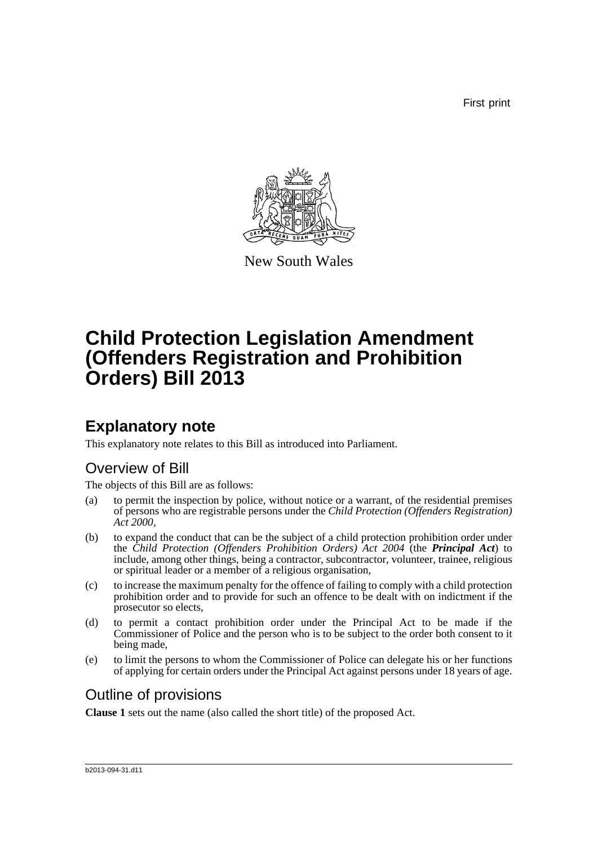First print



New South Wales

# **Child Protection Legislation Amendment (Offenders Registration and Prohibition Orders) Bill 2013**

## **Explanatory note**

This explanatory note relates to this Bill as introduced into Parliament.

### Overview of Bill

The objects of this Bill are as follows:

- (a) to permit the inspection by police, without notice or a warrant, of the residential premises of persons who are registrable persons under the *Child Protection (Offenders Registration) Act 2000*,
- (b) to expand the conduct that can be the subject of a child protection prohibition order under the *Child Protection (Offenders Prohibition Orders) Act 2004* (the *Principal Act*) to include, among other things, being a contractor, subcontractor, volunteer, trainee, religious or spiritual leader or a member of a religious organisation,
- (c) to increase the maximum penalty for the offence of failing to comply with a child protection prohibition order and to provide for such an offence to be dealt with on indictment if the prosecutor so elects,
- (d) to permit a contact prohibition order under the Principal Act to be made if the Commissioner of Police and the person who is to be subject to the order both consent to it being made,
- (e) to limit the persons to whom the Commissioner of Police can delegate his or her functions of applying for certain orders under the Principal Act against persons under 18 years of age.

### Outline of provisions

**Clause 1** sets out the name (also called the short title) of the proposed Act.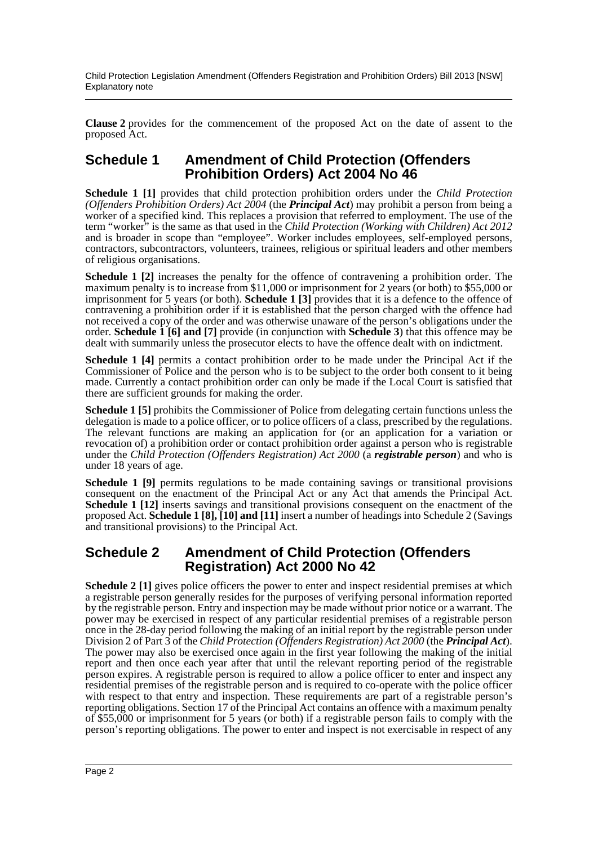Child Protection Legislation Amendment (Offenders Registration and Prohibition Orders) Bill 2013 [NSW] Explanatory note

**Clause 2** provides for the commencement of the proposed Act on the date of assent to the proposed Act.

#### **Schedule 1 Amendment of Child Protection (Offenders Prohibition Orders) Act 2004 No 46**

**Schedule 1 [1]** provides that child protection prohibition orders under the *Child Protection (Offenders Prohibition Orders) Act 2004* (the *Principal Act*) may prohibit a person from being a worker of a specified kind. This replaces a provision that referred to employment. The use of the term "worker<sup>"</sup> is the same as that used in the *Child Protection (Working with Children) Act 2012* and is broader in scope than "employee". Worker includes employees, self-employed persons, contractors, subcontractors, volunteers, trainees, religious or spiritual leaders and other members of religious organisations.

**Schedule 1 [2]** increases the penalty for the offence of contravening a prohibition order. The maximum penalty is to increase from \$11,000 or imprisonment for 2 years (or both) to \$55,000 or imprisonment for 5 years (or both). **Schedule 1 [3]** provides that it is a defence to the offence of contravening a prohibition order if it is established that the person charged with the offence had not received a copy of the order and was otherwise unaware of the person's obligations under the order. **Schedule 1 [6] and [7]** provide (in conjunction with **Schedule 3**) that this offence may be dealt with summarily unless the prosecutor elects to have the offence dealt with on indictment.

**Schedule 1 [4]** permits a contact prohibition order to be made under the Principal Act if the Commissioner of Police and the person who is to be subject to the order both consent to it being made. Currently a contact prohibition order can only be made if the Local Court is satisfied that there are sufficient grounds for making the order.

**Schedule 1 [5]** prohibits the Commissioner of Police from delegating certain functions unless the delegation is made to a police officer, or to police officers of a class, prescribed by the regulations. The relevant functions are making an application for (or an application for a variation or revocation of) a prohibition order or contact prohibition order against a person who is registrable under the *Child Protection (Offenders Registration) Act 2000* (a *registrable person*) and who is under 18 years of age.

**Schedule 1 [9]** permits regulations to be made containing savings or transitional provisions consequent on the enactment of the Principal Act or any Act that amends the Principal Act. **Schedule 1 [12]** inserts savings and transitional provisions consequent on the enactment of the proposed Act. **Schedule 1 [8], [10] and [11]** insert a number of headings into Schedule 2 (Savings and transitional provisions) to the Principal Act.

#### **Schedule 2 Amendment of Child Protection (Offenders Registration) Act 2000 No 42**

**Schedule 2 [1]** gives police officers the power to enter and inspect residential premises at which a registrable person generally resides for the purposes of verifying personal information reported by the registrable person. Entry and inspection may be made without prior notice or a warrant. The power may be exercised in respect of any particular residential premises of a registrable person once in the 28-day period following the making of an initial report by the registrable person under Division 2 of Part 3 of the *Child Protection (Offenders Registration) Act 2000* (the *Principal Act*). The power may also be exercised once again in the first year following the making of the initial report and then once each year after that until the relevant reporting period of the registrable person expires. A registrable person is required to allow a police officer to enter and inspect any residential premises of the registrable person and is required to co-operate with the police officer with respect to that entry and inspection. These requirements are part of a registrable person's reporting obligations. Section 17 of the Principal Act contains an offence with a maximum penalty of \$55,000 or imprisonment for 5 years (or both) if a registrable person fails to comply with the person's reporting obligations. The power to enter and inspect is not exercisable in respect of any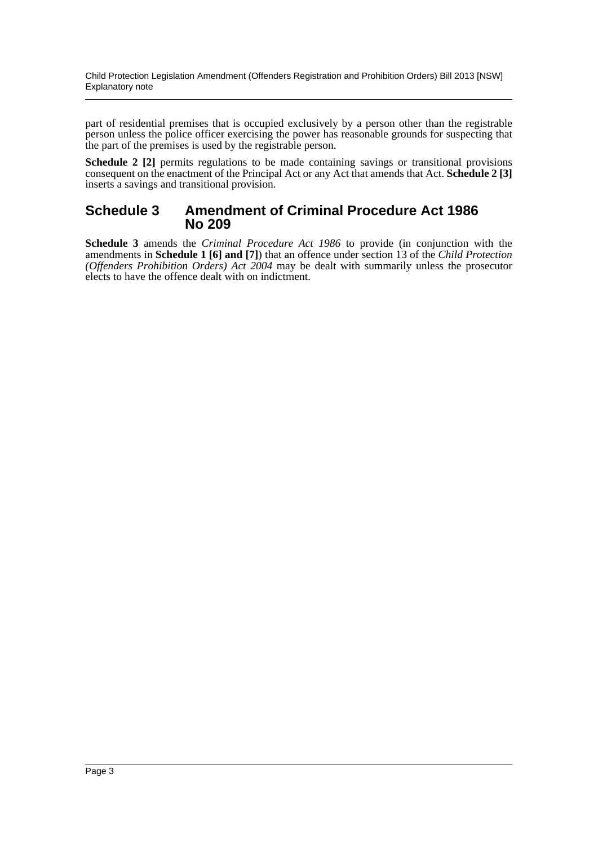Child Protection Legislation Amendment (Offenders Registration and Prohibition Orders) Bill 2013 [NSW] Explanatory note

part of residential premises that is occupied exclusively by a person other than the registrable person unless the police officer exercising the power has reasonable grounds for suspecting that the part of the premises is used by the registrable person.

**Schedule 2 [2]** permits regulations to be made containing savings or transitional provisions consequent on the enactment of the Principal Act or any Act that amends that Act. **Schedule 2 [3]** inserts a savings and transitional provision.

#### **Schedule 3 Amendment of Criminal Procedure Act 1986 No 209**

**Schedule 3** amends the *Criminal Procedure Act 1986* to provide (in conjunction with the amendments in **Schedule 1 [6] and [7]**) that an offence under section 13 of the *Child Protection (Offenders Prohibition Orders) Act 2004* may be dealt with summarily unless the prosecutor elects to have the offence dealt with on indictment.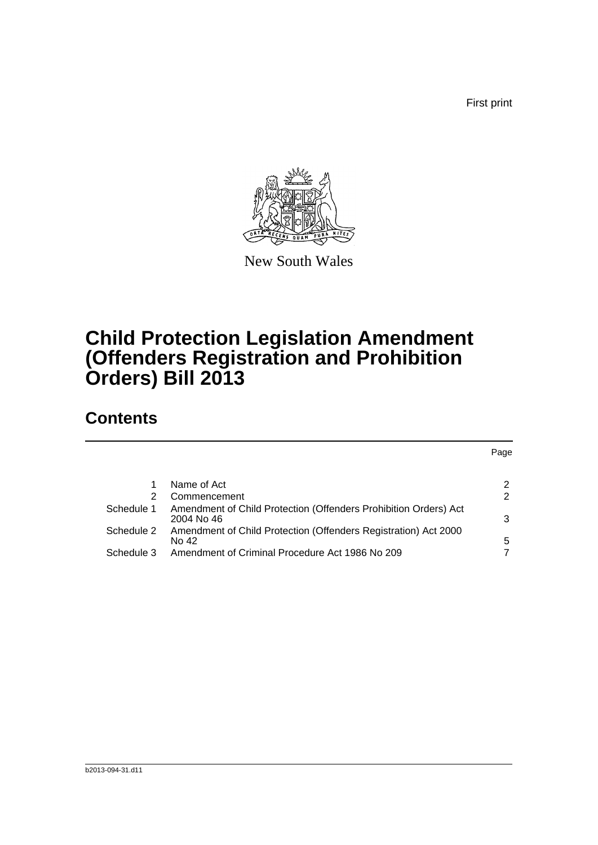First print



New South Wales

## **Child Protection Legislation Amendment (Offenders Registration and Prohibition Orders) Bill 2013**

### **Contents**

|            |                                                                                | Page |
|------------|--------------------------------------------------------------------------------|------|
|            |                                                                                |      |
|            | Name of Act                                                                    | 2    |
| 2          | Commencement                                                                   | 2    |
| Schedule 1 | Amendment of Child Protection (Offenders Prohibition Orders) Act<br>2004 No 46 | 3    |
| Schedule 2 | Amendment of Child Protection (Offenders Registration) Act 2000<br>No 42       | 5    |
| Schedule 3 | Amendment of Criminal Procedure Act 1986 No 209                                |      |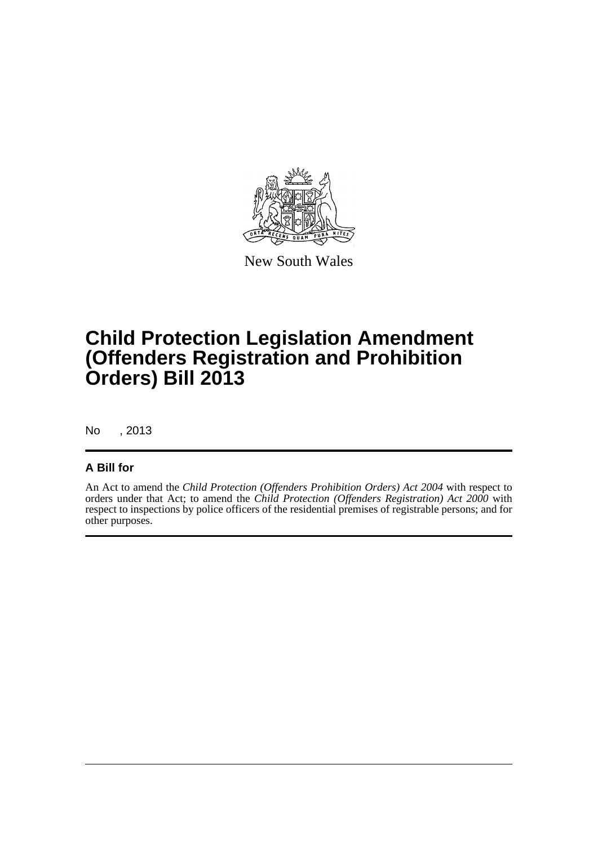

New South Wales

## **Child Protection Legislation Amendment (Offenders Registration and Prohibition Orders) Bill 2013**

No , 2013

#### **A Bill for**

An Act to amend the *Child Protection (Offenders Prohibition Orders) Act 2004* with respect to orders under that Act; to amend the *Child Protection (Offenders Registration) Act 2000* with respect to inspections by police officers of the residential premises of registrable persons; and for other purposes.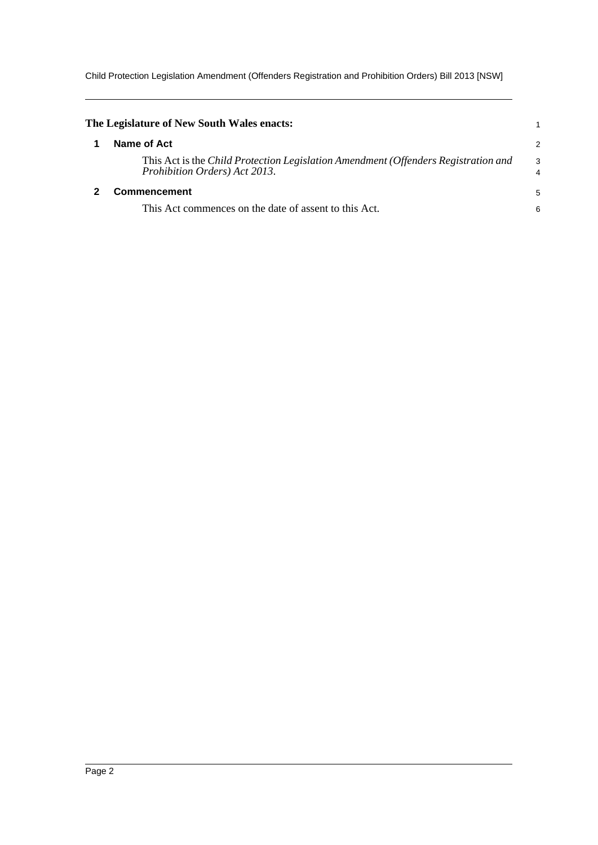Child Protection Legislation Amendment (Offenders Registration and Prohibition Orders) Bill 2013 [NSW]

<span id="page-5-1"></span><span id="page-5-0"></span>

| The Legislature of New South Wales enacts:                                                                          |                     |  |
|---------------------------------------------------------------------------------------------------------------------|---------------------|--|
| Name of Act                                                                                                         | 2                   |  |
| This Act is the Child Protection Legislation Amendment (Offenders Registration and<br>Prohibition Orders) Act 2013. | 3<br>$\overline{4}$ |  |
| <b>Commencement</b>                                                                                                 |                     |  |
| This Act commences on the date of assent to this Act.                                                               | 6                   |  |
|                                                                                                                     |                     |  |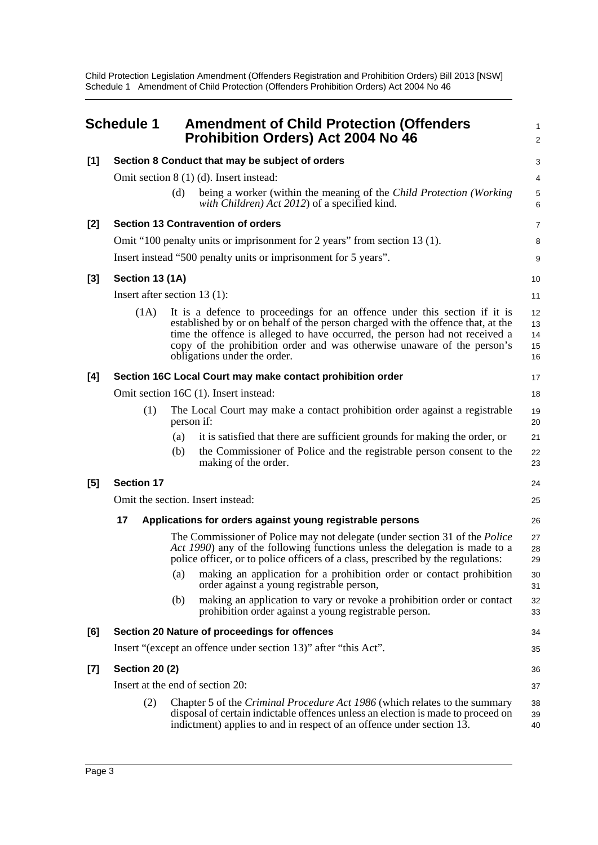Child Protection Legislation Amendment (Offenders Registration and Prohibition Orders) Bill 2013 [NSW] Schedule 1 Amendment of Child Protection (Offenders Prohibition Orders) Act 2004 No 46

<span id="page-6-0"></span>

|       | <b>Schedule 1</b>                        |                                                            | <b>Amendment of Child Protection (Offenders</b><br><b>Prohibition Orders) Act 2004 No 46</b>                                                                                                                                                                                                                                                           | 1<br>$\overline{2}$        |  |
|-------|------------------------------------------|------------------------------------------------------------|--------------------------------------------------------------------------------------------------------------------------------------------------------------------------------------------------------------------------------------------------------------------------------------------------------------------------------------------------------|----------------------------|--|
| [1]   |                                          |                                                            | Section 8 Conduct that may be subject of orders                                                                                                                                                                                                                                                                                                        | 3                          |  |
|       | Omit section $8(1)(d)$ . Insert instead: |                                                            |                                                                                                                                                                                                                                                                                                                                                        |                            |  |
|       |                                          | (d)                                                        | being a worker (within the meaning of the Child Protection (Working<br>with Children) Act 2012) of a specified kind.                                                                                                                                                                                                                                   | 5<br>6                     |  |
| [2]   |                                          |                                                            | <b>Section 13 Contravention of orders</b>                                                                                                                                                                                                                                                                                                              | 7                          |  |
|       |                                          |                                                            | Omit "100 penalty units or imprisonment for 2 years" from section 13 (1).                                                                                                                                                                                                                                                                              | 8                          |  |
|       |                                          |                                                            | Insert instead "500 penalty units or imprisonment for 5 years".                                                                                                                                                                                                                                                                                        | 9                          |  |
| [3]   | Section 13 (1A)                          |                                                            |                                                                                                                                                                                                                                                                                                                                                        | 10                         |  |
|       | Insert after section 13 $(1)$ :          |                                                            |                                                                                                                                                                                                                                                                                                                                                        | 11                         |  |
|       | (1A)                                     |                                                            | It is a defence to proceedings for an offence under this section if it is<br>established by or on behalf of the person charged with the offence that, at the<br>time the offence is alleged to have occurred, the person had not received a<br>copy of the prohibition order and was otherwise unaware of the person's<br>obligations under the order. | 12<br>13<br>14<br>15<br>16 |  |
| [4]   |                                          | Section 16C Local Court may make contact prohibition order |                                                                                                                                                                                                                                                                                                                                                        |                            |  |
|       |                                          |                                                            | Omit section 16C (1). Insert instead:                                                                                                                                                                                                                                                                                                                  | 18                         |  |
|       | (1)                                      | person if:                                                 | The Local Court may make a contact prohibition order against a registrable                                                                                                                                                                                                                                                                             | 19<br>20                   |  |
|       |                                          | (a)                                                        | it is satisfied that there are sufficient grounds for making the order, or                                                                                                                                                                                                                                                                             | 21                         |  |
|       |                                          | (b)                                                        | the Commissioner of Police and the registrable person consent to the<br>making of the order.                                                                                                                                                                                                                                                           | 22<br>23                   |  |
| [5]   | <b>Section 17</b>                        |                                                            |                                                                                                                                                                                                                                                                                                                                                        | 24                         |  |
|       |                                          |                                                            | Omit the section. Insert instead:                                                                                                                                                                                                                                                                                                                      | 25                         |  |
|       | 17                                       |                                                            | Applications for orders against young registrable persons                                                                                                                                                                                                                                                                                              | 26                         |  |
|       |                                          |                                                            | The Commissioner of Police may not delegate (under section 31 of the <i>Police</i><br>Act 1990) any of the following functions unless the delegation is made to a<br>police officer, or to police officers of a class, prescribed by the regulations:                                                                                                  | 27<br>28<br>29             |  |
|       |                                          | (a)                                                        | making an application for a prohibition order or contact prohibition<br>order against a young registrable person,                                                                                                                                                                                                                                      | 30<br>31                   |  |
|       |                                          | (b)                                                        | making an application to vary or revoke a prohibition order or contact<br>prohibition order against a young registrable person.                                                                                                                                                                                                                        | 32<br>33                   |  |
| [6]   |                                          |                                                            | Section 20 Nature of proceedings for offences                                                                                                                                                                                                                                                                                                          | 34                         |  |
|       |                                          |                                                            | Insert "(except an offence under section 13)" after "this Act".                                                                                                                                                                                                                                                                                        | 35                         |  |
| $[7]$ | <b>Section 20 (2)</b>                    |                                                            |                                                                                                                                                                                                                                                                                                                                                        | 36                         |  |
|       |                                          |                                                            | Insert at the end of section 20:                                                                                                                                                                                                                                                                                                                       | 37                         |  |
|       | (2)                                      |                                                            | Chapter 5 of the <i>Criminal Procedure Act 1986</i> (which relates to the summary<br>disposal of certain indictable offences unless an election is made to proceed on<br>indictment) applies to and in respect of an offence under section 13.                                                                                                         | 38<br>39<br>40             |  |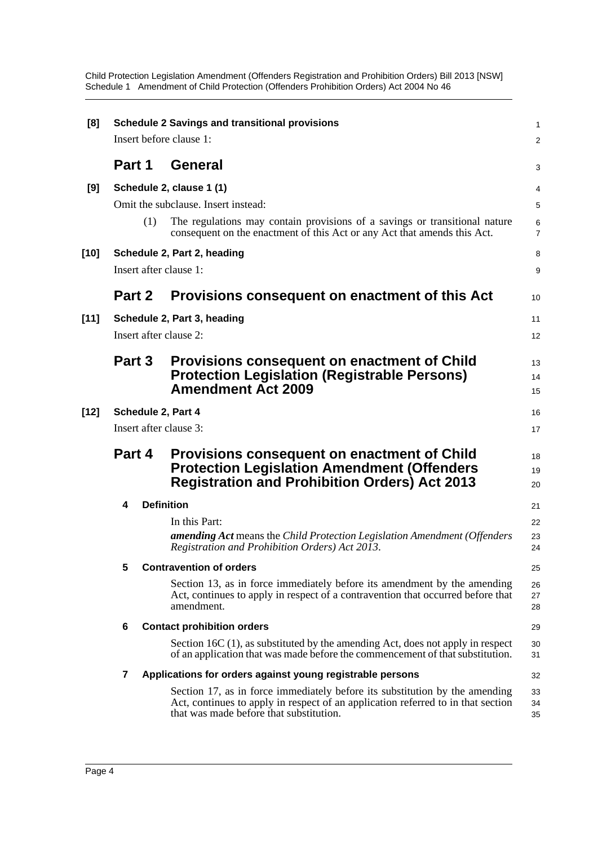Child Protection Legislation Amendment (Offenders Registration and Prohibition Orders) Bill 2013 [NSW] Schedule 1 Amendment of Child Protection (Offenders Prohibition Orders) Act 2004 No 46

| [8]    | <b>Schedule 2 Savings and transitional provisions</b><br>Insert before clause 1: |     |                                                                                                                                                                                                            |                     |  |
|--------|----------------------------------------------------------------------------------|-----|------------------------------------------------------------------------------------------------------------------------------------------------------------------------------------------------------------|---------------------|--|
|        |                                                                                  |     |                                                                                                                                                                                                            | 2                   |  |
|        | Part 1                                                                           |     | General                                                                                                                                                                                                    | 3                   |  |
| [9]    |                                                                                  |     | Schedule 2, clause 1 (1)                                                                                                                                                                                   | 4                   |  |
|        |                                                                                  |     | Omit the subclause. Insert instead:                                                                                                                                                                        | 5                   |  |
|        |                                                                                  | (1) | The regulations may contain provisions of a savings or transitional nature<br>consequent on the enactment of this Act or any Act that amends this Act.                                                     | 6<br>$\overline{7}$ |  |
| [10]   |                                                                                  |     | Schedule 2, Part 2, heading                                                                                                                                                                                | 8                   |  |
|        |                                                                                  |     | Insert after clause 1:                                                                                                                                                                                     | 9                   |  |
|        | Part 2                                                                           |     | Provisions consequent on enactment of this Act                                                                                                                                                             | 10                  |  |
| $[11]$ |                                                                                  |     | Schedule 2, Part 3, heading                                                                                                                                                                                | 11                  |  |
|        |                                                                                  |     | Insert after clause 2:                                                                                                                                                                                     | 12                  |  |
|        | Part 3                                                                           |     | Provisions consequent on enactment of Child                                                                                                                                                                | 13                  |  |
|        |                                                                                  |     | <b>Protection Legislation (Registrable Persons)</b>                                                                                                                                                        | 14                  |  |
|        |                                                                                  |     | <b>Amendment Act 2009</b>                                                                                                                                                                                  | 15                  |  |
| [12]   |                                                                                  |     | Schedule 2, Part 4                                                                                                                                                                                         | 16                  |  |
|        |                                                                                  |     | Insert after clause 3:                                                                                                                                                                                     | 17                  |  |
|        | Part 4                                                                           |     | Provisions consequent on enactment of Child<br><b>Protection Legislation Amendment (Offenders</b><br><b>Registration and Prohibition Orders) Act 2013</b>                                                  | 18<br>19<br>20      |  |
|        | 4                                                                                |     | <b>Definition</b>                                                                                                                                                                                          | 21                  |  |
|        |                                                                                  |     | In this Part:                                                                                                                                                                                              | 22                  |  |
|        |                                                                                  |     | <b>amending Act</b> means the Child Protection Legislation Amendment (Offenders<br>Registration and Prohibition Orders) Act 2013.                                                                          | 23<br>24            |  |
|        | 5                                                                                |     | <b>Contravention of orders</b>                                                                                                                                                                             | 25                  |  |
|        |                                                                                  |     | Section 13, as in force immediately before its amendment by the amending<br>Act, continues to apply in respect of a contravention that occurred before that<br>amendment.                                  | 26<br>27<br>28      |  |
|        | 6                                                                                |     | <b>Contact prohibition orders</b>                                                                                                                                                                          | 29                  |  |
|        |                                                                                  |     | Section 16C (1), as substituted by the amending Act, does not apply in respect<br>of an application that was made before the commencement of that substitution.                                            | 30<br>31            |  |
|        | 7                                                                                |     | Applications for orders against young registrable persons                                                                                                                                                  | 32                  |  |
|        |                                                                                  |     | Section 17, as in force immediately before its substitution by the amending<br>Act, continues to apply in respect of an application referred to in that section<br>that was made before that substitution. | 33<br>34<br>35      |  |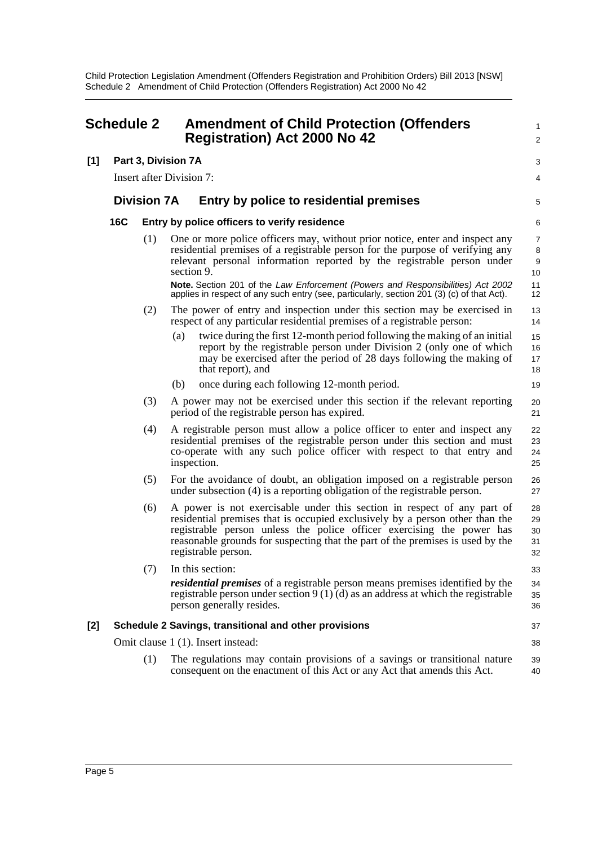<span id="page-8-0"></span>

| <b>Schedule 2</b> |                                                       | <b>Amendment of Child Protection (Offenders</b><br><b>Registration) Act 2000 No 42</b> |     | 1<br>$\overline{\mathbf{c}}$                                                                                                                                                                                                                                                                                                              |                            |  |
|-------------------|-------------------------------------------------------|----------------------------------------------------------------------------------------|-----|-------------------------------------------------------------------------------------------------------------------------------------------------------------------------------------------------------------------------------------------------------------------------------------------------------------------------------------------|----------------------------|--|
| [1]               | Part 3, Division 7A                                   |                                                                                        |     |                                                                                                                                                                                                                                                                                                                                           | 3                          |  |
|                   |                                                       | <b>Insert after Division 7:</b>                                                        |     |                                                                                                                                                                                                                                                                                                                                           |                            |  |
|                   |                                                       | <b>Division 7A</b>                                                                     |     | Entry by police to residential premises                                                                                                                                                                                                                                                                                                   | 5                          |  |
|                   | <b>16C</b>                                            |                                                                                        |     | Entry by police officers to verify residence                                                                                                                                                                                                                                                                                              | 6                          |  |
|                   |                                                       | (1)                                                                                    |     | One or more police officers may, without prior notice, enter and inspect any<br>residential premises of a registrable person for the purpose of verifying any<br>relevant personal information reported by the registrable person under<br>section 9.                                                                                     | 7<br>8<br>9<br>10          |  |
|                   |                                                       |                                                                                        |     | Note. Section 201 of the Law Enforcement (Powers and Responsibilities) Act 2002<br>applies in respect of any such entry (see, particularly, section 201 (3) (c) of that Act).                                                                                                                                                             | 11<br>12                   |  |
|                   |                                                       | (2)                                                                                    |     | The power of entry and inspection under this section may be exercised in<br>respect of any particular residential premises of a registrable person:                                                                                                                                                                                       | 13<br>14                   |  |
|                   |                                                       |                                                                                        | (a) | twice during the first 12-month period following the making of an initial<br>report by the registrable person under Division 2 (only one of which<br>may be exercised after the period of 28 days following the making of<br>that report), and                                                                                            | 15<br>16<br>17<br>18       |  |
|                   |                                                       |                                                                                        | (b) | once during each following 12-month period.                                                                                                                                                                                                                                                                                               | 19                         |  |
|                   |                                                       | (3)                                                                                    |     | A power may not be exercised under this section if the relevant reporting<br>period of the registrable person has expired.                                                                                                                                                                                                                | 20<br>21                   |  |
|                   |                                                       | (4)                                                                                    |     | A registrable person must allow a police officer to enter and inspect any<br>residential premises of the registrable person under this section and must<br>co-operate with any such police officer with respect to that entry and<br>inspection.                                                                                          | 22<br>23<br>24<br>25       |  |
|                   |                                                       | (5)                                                                                    |     | For the avoidance of doubt, an obligation imposed on a registrable person<br>under subsection (4) is a reporting obligation of the registrable person.                                                                                                                                                                                    | 26<br>27                   |  |
|                   |                                                       | (6)                                                                                    |     | A power is not exercisable under this section in respect of any part of<br>residential premises that is occupied exclusively by a person other than the<br>registrable person unless the police officer exercising the power has<br>reasonable grounds for suspecting that the part of the premises is used by the<br>registrable person. | 28<br>29<br>30<br>31<br>32 |  |
|                   |                                                       | (7)                                                                                    |     | In this section:                                                                                                                                                                                                                                                                                                                          | 33                         |  |
|                   |                                                       |                                                                                        |     | <i>residential premises</i> of a registrable person means premises identified by the<br>registrable person under section $9(1)(d)$ as an address at which the registrable<br>person generally resides.                                                                                                                                    | 34<br>35<br>36             |  |
| [2]               | Schedule 2 Savings, transitional and other provisions |                                                                                        |     |                                                                                                                                                                                                                                                                                                                                           | 37                         |  |
|                   |                                                       |                                                                                        |     | Omit clause 1 (1). Insert instead:                                                                                                                                                                                                                                                                                                        | 38                         |  |
|                   |                                                       | (1)                                                                                    |     | The regulations may contain provisions of a savings or transitional nature<br>consequent on the enactment of this Act or any Act that amends this Act.                                                                                                                                                                                    | 39<br>40                   |  |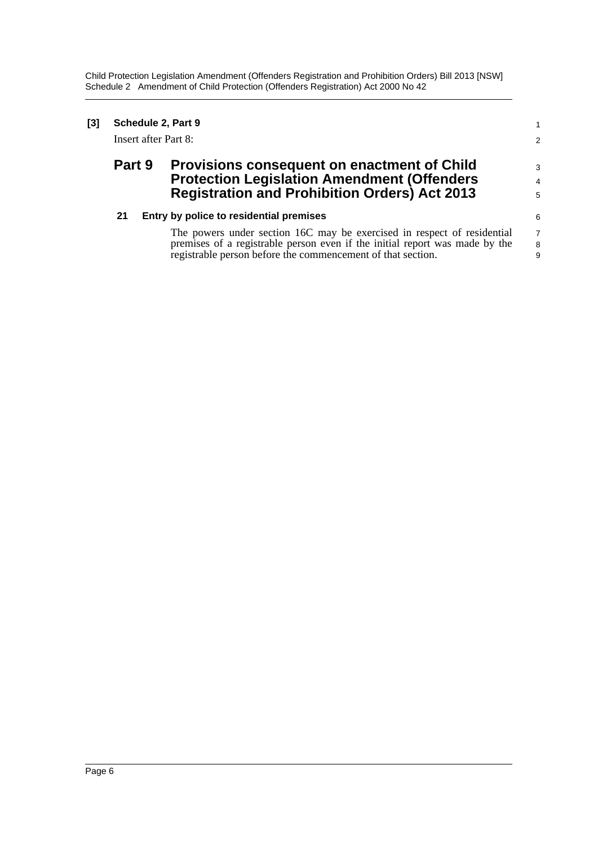Child Protection Legislation Amendment (Offenders Registration and Prohibition Orders) Bill 2013 [NSW] Schedule 2 Amendment of Child Protection (Offenders Registration) Act 2000 No 42

| [3] | Schedule 2, Part 9<br>Insert after Part 8: |                                                                                                                                                                                                                                                                  |                               |
|-----|--------------------------------------------|------------------------------------------------------------------------------------------------------------------------------------------------------------------------------------------------------------------------------------------------------------------|-------------------------------|
|     | Part 9                                     | <b>Provisions consequent on enactment of Child</b><br><b>Protection Legislation Amendment (Offenders</b><br><b>Registration and Prohibition Orders) Act 2013</b>                                                                                                 | 3<br>$\overline{4}$<br>5      |
|     | 21                                         | Entry by police to residential premises<br>The powers under section 16C may be exercised in respect of residential<br>premises of a registrable person even if the initial report was made by the<br>registrable person before the commencement of that section. | 6<br>$\overline{7}$<br>8<br>9 |